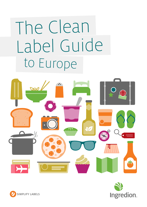# The Clean Label Guide to Europe





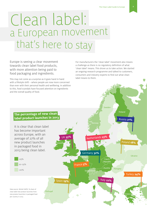### a European movemen<sup>t</sup> Clean label: that's here to stay

Europe is seeing a clear movement towards clean label food products, with more attention being paid to food packaging and ingredients.

This may not come as a surprise as it goes hand in hand with a lifestyle shift – where people are now more concerned than ever with their personal health and wellbeing. In addition to this, food scandals have focused attention on ingredients and the overall quality of food.

For manufacturers the 'clean label' movement also means a challenge as there is no regulatory definition of what 'clean label' means. This drove us to take action. We started an ongoing research programme and talked to customers, consumers and industry experts to find out what clean label means to them.

#### **The percentage of new clean label product launches in 2013**

It is clear that clean label has become important across Europe, with an average of 27% of all new product launches in packaged food in 2013 being clean label.





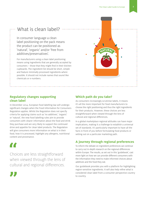#### What is clean label?

In consumer language a clean label positioning on the pack means the product can be positioned as 'natural', 'organic' and/or 'free from additives/preservatives'.

For manufacturers using a clean label positioning means using ingredients that are generally accepted by consumers – those that they might find in their kitchen cupboards. The ingredient list should be short, simple and feature minimally processed ingredients where possible. It should not include names that sound like chemicals or e-numbers.



In December 2014, European food labelling law will undergo significant changes when the Food Information for Consumers Regulation applies. Whilst the Regulation does not specify criteria for applying claims such as 'no additives', 'organic' or 'natural', the new food labelling rules aim to provide consumers with clearer information about the food and drink they purchase and are very likely to support the continued drive and appetite for clean label products. The Regulation will give consumers more information on what is in their food, how it is processed, highlight any allergens, nutritional content and provenance.

Choices are less straightforward when viewed through the lens of cultural and regional differences.

#### **Which path do you take?**

As consumers increasingly scrutinise labels, it means it's all the more important for food manufacturers to choose the right positioning and thus the right ingredients for their products. However, these choices are less straightforward when viewed through the lens of cultural and regional differences.

In a global marketplace regional attitudes can have major implications, making it a challenge to establish a universal set of standards. It's particularly important to have all the facts in front of you before formulating food products or setting out on a particular marketing path.

#### **A journey through regional preferences**

To inform the debate on ingredient preferences we continue to carry out in-depth research on the regional differences within Europe. The results, as set out in this 'guidebook', cast more light on how we can provide different consumers with the information they need to make informed choices about additives and the food they eat.

Our guidebook provides you with a platform for highlighting region-sensitive ingredients. It will also help refine what is considered clean label from a consumer perspective country to country.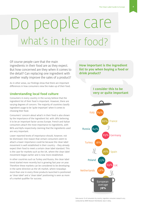## o people care what's in their food?

Of course people care that the main ingredients in their food are as they expect. But how concerned are they when it comes to the detail? Can replacing one ingredient with another really improve the sales of a product?

As in other areas, our findings show that there are important differences in how consumers view the make-up of their food.

#### **Understanding local food culture**

Consumers in every country in the survey believe that the ingredient list of their food is important. However, there are varying degrees of concern. The majority of countries classify ingredient usage to be 'quite important' when it comes to choosing their food.

Consumers' concern about what's in their food is also shown by the importance of the ingredient list: with 78% believing it to be an important factor across Europe. French and Italian consumers attach the most importance to ingredients, with 86% and 89% respectively claiming that the ingredients used are very important.

Lower reported levels of importance should, however, not be dismissed. One reason that certain consumers seem to attach a lower importance could be because the clean label movement is well established in their country – they already expect their food to meet a certain clean label standard. This is the case for markets such as the UK, where the clean label movement began earlier and is now more established.

In other countries such as Turkey and Russia, the clean label trend started more recently but is growing fast year on year. Therefore these markets can be considered to be developing in the same direction as the UK market, where nowadays more than one in every three products launched is positioned as 'clean label' and a 'clean label' positioning is seen as more of a market qualifier for success.

**How important is the ingredient list to you when buying a food or drink product?** 

> **I consider this to be very or quite important**

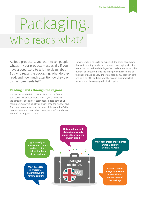## Packaging. Who reads what?

As food producers, you want to tell people what's in your products – especially if you have a good story to tell, like clean label. But who reads the packaging, what do they read, and how much attention do they pay to the ingredients list?

#### **Reading habits through the regions**

It is well established that claims placed on the front of your packs will be read more. After all, this side faces the consumer and is most easily read. In fact, 72% of all consumers surveyed usually or always read the front of pack. Since more consumers read the front of the pack, that's the best place for your clean label claims, such as 'no additives', 'natural' and 'organic' claims.

However, whilst this is to be expected, the study also shows that an increasing number of consumers are paying attention to the back of pack and the ingredient declaration. In fact, the number of consumers who see the ingredient list (found on the back of pack) as very important rose by 3% between 2011 and 2013 to 78%, and it is now the second most important factor when choosing a product, after price.

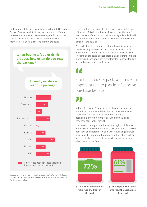In the more established markets such as the UK, Netherlands, France, Germany and Spain we can see a larger difference between the number of people reading the front and the back of the pack. In these markets there is trust in manufacturers and a clean label is more expected.

#### **When buying a food or drink product, how often do you read the package?**

#### **I usually or always read the package**



% difference between those that read the front and back of the pack

Data source: % of consumers who usually or always read the front or back of pack, European average, Ingredion consumer research 2013 conducted by MMR Research Worldwide, base n=2805

They therefore place more trust in claims made on the front of the pack. This does not mean, however, that they don't read the back of the pack as well. So the ingredient list is still as important and manufacturers must make sure they meet consumer expectations.

The back of pack is certainly scrutinised more in some of the developing markets such as Russia and Poland. In fact, in Poland both sides of the pack are read in equal measure. This is to be expected as clean label is a newer trend in these markets and consumers are very interested in understanding and finding out what is in their food.

**AA** 

#### Front and back of pack both have an important role to play in influencing purchase behaviour

In Italy, Russia and Turkey the back of pack is scrutinised more than in some established markets, whereas Spanish consumers pay a lot more attention to front of pack positioning. Therefore front of pack communication is very important in that market.

The research clearly shows that despite regional differences in the level to which the front and back of pack is scrutinised, both have an important role to play in influencing purchase behaviour. It is important therefore to not only have a clean ingredient label on the back but also to include your clean label claims on the front.





**% of European consumers who read the front of the pack** 

**% of European consumers who read the back/sides of the pack**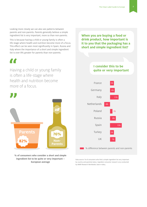Looking more closely we can also see patterns between parents and non-parents. Parents generally believe a simple ingredient list is very important, more so than non-parents.

This is because having a child or young family is often a life-stage where health and nutrition become more of a focus. This effect can be seen most significantly in Spain, Russia and Italy where the importance of a short and simple ingredient list is over 8% greater for parents than non-parents.



Having a child or young family is often a life-stage where health and nutrition become more of a focus.



**% of consumers who consider a short and simple ingredient list to be quite or very important – European average**

**When you are buying a food or drink product, how important is it to you that the packaging has a short and simple ingredient list?** 

#### **I consider this to be quite or very important**



Data source: % of consumers who find a simple ingredient list very important by country and parental status, Ingredion consumer research 2013 conducted by MMR Research Worldwide, base n=2805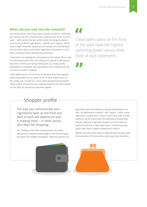#### **What can you read into the research?**

Our study shows that if you want to grab consumers' attention you should use the communication opportunity at the front of pack – with claims that are preferred by the target audience such as 'no artificial ingredients', 'natural' and 'organic', which have a high consumer appeal across Europe. You should back this up with a short and simple ingredient declaration on the back, compliant with labelling requirements.

Consumers are looking for transparency and clarity. They want to understand what they are eating and receive confirmation that their choices are doing them good. So, using as few ingredients as possible and ingredients they understand will increase a product's appeal.

Clean label claims on the front of the pack have the highest switching power versus other front of pack statements. So the closer you can get to a clean label positioning the better. These claims should also be supplemented by the information on the back to maximise consumer appeal.

77

Clean label claims on the front of the pack have the highest switching power versus other front of pack statements.

#### Shopper profile

The way you communicate your ingredients both on the front and back of pack will depend on who is reading them – in other words, who does the shopping.

Our findings show that overall women are more attracted by product positionings on the front of pack, but there are notable exceptions. Whereas women are

generally more attracted by a natural positioning, men find 'no additives/e-numbers' and 'organic' claims more attractive, in particular in Spain, France and Italy. Similar patterns can be found with the likelihood of switching brands. Whereas in general women are more likely to switch brands for a clean label claim, in Germany and Spain men have a higher propensity to switch.

Women are also more likely to read the back of pack, with the exception of France where men pay more attention.

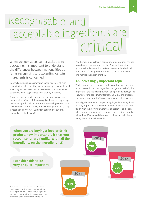### Recognisable and critical acceptable ingredients are

When we look at consumer attitudes to packaging, it's important to understand the differences between nationalities as far as recognising and accepting certain ingredients is concerned.

Generally speaking, consumers we spoke to across all nine countries indicated that they are increasingly concerned about what they eat. However, what is accepted or not accepted by consumers differs significantly from country to country.

There are two factors to look at: do consumers recognise the ingredients? And, if they recognise them, do they accept them? Recognition alone does not mean an ingredient has a positive image. For instance, monosodium glutamate (MSG) is recognised by 36% of European consumers, but only deemed acceptable by 4%.

Another example is locust bean gum, which sounds strange to an English person, whereas the German translation 'Johannesbrotkernmehl' is perfectly acceptable. The local translation of an ingredient can lead to its acceptance in one market but not in another.

#### **An increasingly important topic**

**78%**

**2011**

While most of the consumers in the countries we surveyed in our research consider ingredient recognition to be 'quite important', the increasing number of ingredients recognised shows growing consumer attention. Only 4% of European consumers say they don't recognise any ingredients at all.

Globally, the number of people rating ingredient recognition as 'very important' has also remained high since 2011. This fits in with the growing awareness of additives and clean label products. In general, consumers are tending towards a healthier lifestyle and their food choices can help them along the road to achieve this.

**When you are buying a food or drink product, how important is it that you recognise, or are familiar with, all the ingredients on the ingredient list?**

#### **I consider this to be very or quite important**

Data source: % of consumers who find it quite or very important that they recognise the ingredients on the ingredients list, European average, Ingredion consumer research conducted by MMR Research 2013, base n=2805 (2013), n=1880 (2012), n=1511 (2011)



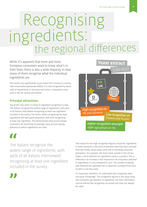# Recognising edients:<br>the regional differences

While it's apparent that more and more European consumers want to know what's in their food, there is also a wide disparity in how many of them recognise what the individual ingredients are.

The results vary significantly as you travel from country to country. Take monosodium glutamate (MSG). It is only recognised by about 20% of respondents in Germany and France, compared to over 50% in the UK, Russia and Poland.

#### **Principal attractions**

Top of the class when it comes to ingredient recognition is Italy. The Italians recognise the widest range of ingredients, with 99% of all Italians interviewed recognising at least one ingredient included in the survey. The Dutch, whilst recognising the least ingredients still have good awareness, with 91% recognising at least one ingredient. This demonstrates that across Europe, consumers are becoming increasingly savvy and are paying attention to which ingredients are used.



The Italians recognise the widest range of ingredients, with 99% of all Italians interviewed recognising at least one ingredient included in the survey.



One reason for the high recognition figures of specific ingredients in some countries is the level of attention that they have received from the media, which plays a key role in moulding consumer perception. For example, the horse meat scandal in the UK has drawn a lot of attention to ingredients used in a product. This is reflected in an increase in the importance UK consumers attached to ingredients in 2013 compared to 2011. The number of people who believed the ingredient list is important increased from 65% to 69% in just two years.

It's important, therefore, to understand that recognition does not equal 'knowledge'. The recognition figures in the study show that consumers pay attention to ingredients, but their information sources behind that recognition are varied and may not always be valid.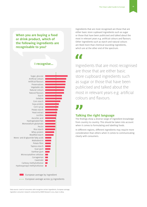**When you are buying a food or drink product, which of the following ingredients are recognisable to you?**

#### **I recognise…**



Data source: Level of consumers who recognise certain ingredients, European average, Ingredion consumer research conducted by MMR Research 2013, base n=2805

Ingredients that are most recognised are those that are either basic store cupboard ingredients such as sugar or those that have been publicised and talked about the most in relevant years e.g. artificial colours and flavours. Other ingredients such as starch and natural colours are liked more than chemical-sounding ingredients, which are at the other end of the spectrum.

Ingredients that are most recognised are those that are either basic store cupboard ingredients such as sugar or those that have been publicised and talked about the most in relevant years e.g. artificial colours and flavours.

#### **Talking the right language**

The findings show a diverse range of ingredient knowledge from country to country. This should be taken into account when it comes to formulating and labelling foods.

In different regions, different ingredients may require more consideration than others when it comes to communicating clearly with consumers.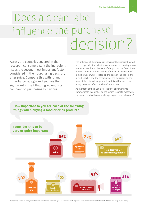### Does a clean label influence the purchase decision?

Across the countries covered in the research, consumers rank the ingredient list as the second most important factor considered in their purchasing decision, after price. Compare this with 'brand importance' at 53% and you see the significant impact that ingredient lists can have on purchasing behaviour.

The influence of the ingredient list cannot be underestimated and is especially important now consumers are paying almost as much attention to the back of the pack as the front. There is also a growing understanding of the link in a consumer's mind between what is listed on the back of the pack in the ingredients list and the credibility of the messages on the front. If there is a discrepancy, then this will be noted in many cases and affect purchase/re-purchase.

As the front of the pack is still the first opportunity to communicate clean label claims, which resonate most with consumers and will cause a change in purchase behaviour?

#### **How important to you are each of the following things when buying a food or drink product?**



Data source: European average % of consumers who find each item quite or very important, Ingredion consumer research conducted by MMR Research 2013, base n=2805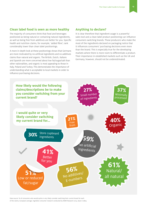#### **Clean label food is seen as more healthy**

The majority of consumers think that food and beverages positioned as being natural or containing natural ingredients, as well as being free from additives are better for you. Specific health and nutrition claims, for example, 'added fibre', rank considerably lower than clean label positionings.

A more in-depth look at these positionings shows that Germans are more motivated by no artificial ingredients and no additives claims than natural and organic. The British, Dutch, Italians and Spanish are more concerned about low fat/sugar/salt than other nationalities, and organic is most appealing to those in Italy, Poland and Turkey. This demonstrates the importance of understanding what is acceptable to local markets in order to influence purchasing decisions.

#### **Anything to declare?**

It is clear therefore that ingredient usage is a powerful sales tool and a clean label product positioning can influence consumers switching brands. Those producers who make the most of the ingredients declared on packaging notice that it influences consumers' purchasing decisions even more than the brand. This is especially true for the developing markets where there is more room to differentiate a product. Their importance in established markets such as the UK and Germany, however, should not be underestimated.

![](_page_12_Figure_6.jpeg)

Data source: % of consumers who would quite or very likely consider switching their current brand for each of the claims, European average, Ingredion consumer research conducted by MMR Research 2013, base n=2805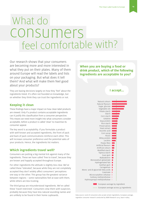### What do feel comfortable with? consumers

Our research shows that your consumers are becoming more and more interested in what they put on their plates. Many of them around Europe will read the labels and lists on your packaging. But what does it tell them? And what will make them feel good about your products?

They are basing decisions largely on how they 'feel' about the ingredients listed. It's often not founded on knowledge, but on whether they think they can trust the ingredients or not.

#### **Keeping it clean**

These findings have a major impact on how clean label products are viewed. Only if a product contains acceptable ingredients can it justify this classification from a consumer perspective. This means we need more insight into what consumers consider acceptable, before a product is called 'clean' to maximise its consumer appeal.

The key word is acceptability. If you formulate a product with well-known and accepted ingredients, the front of pack and back of pack communications reinforce each other. This will increase consumer preference and the potential sales of your products. Hence, the ingredients list matters.

#### **Which ingredients travel well?**

Consumers are putting a big mental tick against many of the ingredients. These we have called 'free to travel', because they are known and happily accepted throughout Europe.

For other ingredients the attitude is slightly less clear. We've called these 'tolerated', because while they are not completely accepted they don't widely affect consumers' perceptions one way or the other. This group has the greatest variance between regions – some nationalities feel at ease with them, while others are less trusting.

The third group are misunderstood ingredients. We've called these 'travel restricted'. Consumers view them with suspicion, probably because they have less natural-sounding names and are unlikely to be found in their home cupboards.

**When you are buying a food or drink product, which of the following ingredients are acceptable to you?** 

![](_page_13_Figure_12.jpeg)

Data source: Level of consumers who accept certain ingredients, European average, Ingredion consumer research conducted by MMR Research 2013, base n=2805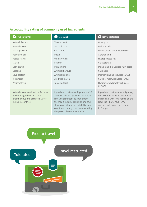#### **Acceptability rating of commonly used ingredients**

| Free to travel                                                                                                                  | Tolerated                                                                                                                                                                                                                                                                          | <b>x</b> Travel restricted                                                                                                                                                                   |  |  |
|---------------------------------------------------------------------------------------------------------------------------------|------------------------------------------------------------------------------------------------------------------------------------------------------------------------------------------------------------------------------------------------------------------------------------|----------------------------------------------------------------------------------------------------------------------------------------------------------------------------------------------|--|--|
| Natural flavours                                                                                                                | Yeast extract                                                                                                                                                                                                                                                                      | Guar gum                                                                                                                                                                                     |  |  |
| Natural colours                                                                                                                 | Ascorbic acid                                                                                                                                                                                                                                                                      | Maltodextrin                                                                                                                                                                                 |  |  |
| Sugar, glucose                                                                                                                  | Corn syrup                                                                                                                                                                                                                                                                         | Monosodium glutamate (MSG)                                                                                                                                                                   |  |  |
| Vegetable oils                                                                                                                  | Pectin                                                                                                                                                                                                                                                                             | Xanthan gum                                                                                                                                                                                  |  |  |
| Potato starch                                                                                                                   | Whey protein                                                                                                                                                                                                                                                                       | Hydrogenated fats                                                                                                                                                                            |  |  |
| Starch                                                                                                                          | Lecithin                                                                                                                                                                                                                                                                           | Carrageenan                                                                                                                                                                                  |  |  |
| Corn starch                                                                                                                     | Potato fibre                                                                                                                                                                                                                                                                       | Mono- and di-glyceride fatty acids                                                                                                                                                           |  |  |
| Gelatine                                                                                                                        | Artificial flavours                                                                                                                                                                                                                                                                | Caseinate                                                                                                                                                                                    |  |  |
| Soya protein                                                                                                                    | Artificial colours                                                                                                                                                                                                                                                                 | Microcrystalline cellulose (MCC)                                                                                                                                                             |  |  |
| Rice starch                                                                                                                     | Modified starch                                                                                                                                                                                                                                                                    | Carboxy methylcellulose (CMC)                                                                                                                                                                |  |  |
| Preservatives                                                                                                                   | Tapioca starch                                                                                                                                                                                                                                                                     | Hydroxypropyl methylcellulose<br>(HPMC)                                                                                                                                                      |  |  |
| Natural colours and natural flavours<br>are both ingredients that are<br>unambiguous and accepted across<br>the nine countries. | Ingredients that are ambiguous - MSG,<br>ascorbic acid and yeast extract - have<br>received significant attention from<br>the media in some countries and thus<br>show very different acceptability from<br>country to country, also demonstrating<br>the power of consumer media. | Ingredients that are unambiguously<br>not accepted - chemical-sounding<br>ingredients with long names on the<br>label like HPMC, MCC, CMC -<br>are not understood by consumers<br>in Europe. |  |  |

Free to travel

![](_page_14_Picture_4.jpeg)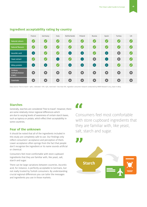|                                     | France    | Germany   | Italy                      | <b>Netherlands</b>         | Poland    | <b>Russia</b> | Spain      | Turkey    | <b>UK</b>             |
|-------------------------------------|-----------|-----------|----------------------------|----------------------------|-----------|---------------|------------|-----------|-----------------------|
| <b>Natural colours</b>              | $\bullet$ | $\bullet$ | $\bullet$                  | $\bullet$                  | $\bullet$ | $\bullet$     | $\bullet$  | $\bullet$ | $\boldsymbol{\omega}$ |
| <b>Natural flavours</b>             | $\bullet$ | $\bullet$ | $\bullet$                  | $\bullet$                  | $\bullet$ | $\bullet$     | Ø          | $\bullet$ | $\boldsymbol{Q}$      |
| Ascorbic acid                       | Θ         | $\bullet$ | $\bullet$                  | 0                          | Θ         | $\bullet$     | Θ          | B         | $\boldsymbol{z}$      |
| <b>Yeast extract</b>                | Ø         | $\bullet$ | Θ                          | $\bullet$                  | c         | B             | Θ          | B         | $\boldsymbol{Q}$      |
| Whey protein                        | $\bullet$ | $\bullet$ | $\bullet$                  | 0                          | Θ         | Θ             | $\bigodot$ | $\bullet$ | $\bullet$             |
| Carboxy<br>methylcellulose<br>(CMC) | $\bullet$ | $\bullet$ | Ø                          | $\left( \mathbf{x}\right)$ | Ø         | B             | 3          | $\bullet$ | $\bullet$             |
| Caseinate                           | $\bullet$ | $\bullet$ | $\left( \mathbf{z}\right)$ | $\left( \mathbf{x}\right)$ | B         | Ø             | $\bullet$  | $\bullet$ | $\bullet$             |

#### **Ingredient acceptability rating by country**

Data source: Free to travel = 19%+, tolerated = 6%-19%, restricted = less than 6%. Ingredion consumer research conducted by MMR Research 2013, base n=2805

#### **Starches**

Generally, starches are considered 'free to travel'. However, there are some relatively minor regional differences which are due to varying levels of awareness of certain starch bases, such as tapioca or potato, which effect their acceptability in some countries.

#### **Fear of the unknown**

It should be noted that all of the ingredients included in this study are completely safe to use. Our findings only reflect consumers' acceptance and perception of them. Lower acceptance often springs from the fact that people don't recognise the ingredient or its name sounds artificial or chemical.

Consumers feel most comfortable with store cupboard ingredients that they are familiar with, like yeast, salt, starch and sugar.

There can be large variations between countries. Ascorbic acid, for instance, is perfectly acceptable to Germans, but not really trusted by Turkish consumers. By understanding crucial regional differences you can tailor the messages and ingredients you use in those markets.

### **A A**

Consumers feel most comfortable with store cupboard ingredients that they are familiar with, like yeast, salt, starch and sugar.

![](_page_15_Picture_12.jpeg)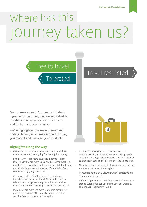## ourney taken us? Where has this

### Free to travel

Tolerated

### Travel restricted

Our journey around European attitudes to ingredients has brought up several valuable insights about geographical differences and preferences across Europe.

We've highlighted the main themes and findings below, which may support the way you market and package your products.

#### **Highlights along the way**

- Clean label has become much more than a trend. It is now a movement that is going from strength to strength.
- Some countries are more advanced in terms of clean label. Those that are more established see clean label as a qualifier to go to market and those that are still developing provide the largest opportunity for differentiation from competition by going clean label.
- Consumers believe that the ingredient list is more important than the actual brand. No manufacturer can rely on brand image alone any more, but will need to cater to consumers' increasing focus on the back of pack.
- Ingredients are more and more relevant in consumers' purchasing decisions. They are also under increasing scrutiny from consumers and the media.

![](_page_16_Picture_11.jpeg)

- Getting the messaging on the front of pack right, with trustworthy, accepted ingredients backing up the message, has a high switching power and thus can lead to changes in consumers' existing purchasing patterns.
- The recognition of an ingredient by consumers does not simultaneously mean it is accepted.
- Consumers have a clear view on which ingredients are 'clean' and which aren't.
- Different ingredients have different levels of acceptance around Europe. You can use this to your advantage by tailoring your ingredients to suit.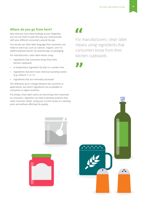#### **Where do you go from here?**

Now that you have these findings at your fingertips, you can use them to plan the way you communicate with your different consumers around Europe.

You should use clean label language that consumers can relate to and trust, such as 'natural', 'organic' and 'no additives/preservatives' for positionings on packaging.

For manufacturers, clean label means using:

- Ingredients that consumers know from their kitchen cupboards
- A simple/short ingredient list that is e-number free
- Ingredients that don't have chemical-sounding names (e.g. without 'x' or 'y')
- Ingredients that are minimally processed

This definition won't change between the countries or applications, but which ingredients are acceptable to consumers is region sensitive.

Put simply, clean label claims are becoming more important to consumers. Ingredion can help to develop products that meet consumer needs, using your current recipe as a starting point and without affecting the quality.

For manufacturers, clean label means using ingredients that consumers know from their kitchen cupboards.

![](_page_17_Picture_13.jpeg)

![](_page_17_Picture_14.jpeg)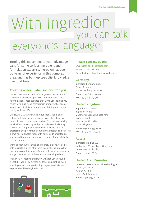# you can talk everyone's language With Ingredion

Turning this movement to your advantage calls for some serious ingredient and formulation expertise. Ingredion has over 20 years of experience in this complex area, and has built up specialist knowledge over that time.

#### **Creating a clean label solution for you**

Our NOVATION® portfolio of over 30 starches helps you overcome many challenges associated with clean label reformulation. These starches are easy to use, helping you create high-quality, no-compromise products, that enable simple ingredient listings, whilst maintaining your product quality and shelf life.

Our HOMECRAFT® portfolio of functional flours offers enhanced functional performance over native flours as they help to overcome issues such as freeze/thaw stability, sensitivity to processing and poor cold water thickening. These natural ingredients offer a much wider range of processing and preparation options than traditional flour. This allows you to develop foods with homemade or restaurant appeal and therefore use simple, consumer-friendly labelling on your products.

Working with our technical and culinary experts, you'll be able to create a menu of tailored clean label solutions that take into account regional differences. In short, we can help you get the most out of these revolutionary ingredients.

Thank you for reading this study; we hope you've found it useful. If you'd like further guidance on adopting clean label ingredients and positionings in your products, our experts would be delighted to help.

#### **Please contact us on:**

Email: [cleanlabel@ingredion.com](mailto:cleanlabel%40ingredion.com?subject=) Request a call back [here](http://www.foodinnovation.com/foodinnovation/en-gb/Contact/Pages/Request_A_Callback.aspx) Or contact one of our European offices.

#### **Germany**

Ingredion Germany GmbH Grüner Deich 110 20097 Hamburg, Germany Phone: +49 (0) 40 23 9150 Fax: +49 (0) 40 23 9170

#### **United Kingdom**

Ingredion UK Limited Ingredion House Manchester Green Business Park 333 Styal Road Manchester, M22 5LW United Kingdom Phone: +44 161 435 3200 Fax: +44 (0) 161 435 3315

#### **Russia**

Ingredion Holding LLC 39, Prospect Vernadskogo, Office 501 119415 Moscow, Russia Phone: +7 495 786 8143

#### **United Arab Emirates**

Dubiotech Research and Biotechnology Park Office 03B, Dubai PO BOX 345810 United Arab Emirates Phone: +971 4453 4288

![](_page_18_Picture_18.jpeg)

![](_page_18_Picture_19.jpeg)